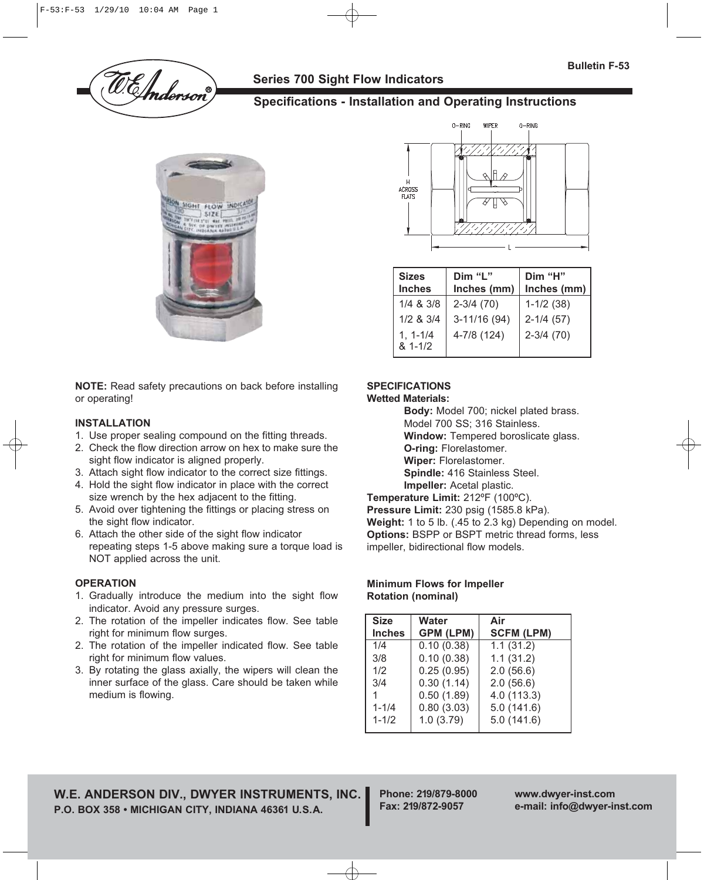

## **Series 700 Sight Flow Indicators**

# **Specifications - Installation and Operating Instructions**



**NOTE:** Read safety precautions on back before installing or operating!

#### **INSTALLATION**

- 1. Use proper sealing compound on the fitting threads.
- 2. Check the flow direction arrow on hex to make sure the sight flow indicator is aligned properly.
- 3. Attach sight flow indicator to the correct size fittings.
- 4. Hold the sight flow indicator in place with the correct size wrench by the hex adjacent to the fitting.
- 5. Avoid over tightening the fittings or placing stress on the sight flow indicator.
- 6. Attach the other side of the sight flow indicator repeating steps 1-5 above making sure a torque load is NOT applied across the unit.

#### **OPERATION**

- 1. Gradually introduce the medium into the sight flow indicator. Avoid any pressure surges.
- 2. The rotation of the impeller indicates flow. See table right for minimum flow surges.
- 2. The rotation of the impeller indicated flow. See table right for minimum flow values.
- 3. By rotating the glass axially, the wipers will clean the inner surface of the glass. Care should be taken while medium is flowing.



| <b>Sizes</b>                                                 | Dim "L"                                        | Dim "H"                                       |
|--------------------------------------------------------------|------------------------------------------------|-----------------------------------------------|
| <b>Inches</b>                                                | Inches (mm)                                    | Inches (mm)                                   |
| $1/4$ & $3/8$<br>$1/2$ & $3/4$<br>$1, 1 - 1/4$<br>$81 - 1/2$ | $2 - 3/4$ (70)<br>$3-11/16(94)$<br>4-7/8 (124) | $1-1/2$ (38)<br>$2-1/4(57)$<br>$2 - 3/4$ (70) |

### **SPECIFICATIONS**

#### **Wetted Materials:**

**Body:** Model 700; nickel plated brass. Model 700 SS; 316 Stainless.

**Window:** Tempered boroslicate glass.

**O-ring:** Florelastomer.

**Wiper:** Florelastomer.

**Spindle:** 416 Stainless Steel.

**Impeller:** Acetal plastic.

**Temperature Limit:** 212ºF (100ºC).

**Pressure Limit:** 230 psig (1585.8 kPa).

**Weight:** 1 to 5 lb. (.45 to 2.3 kg) Depending on model. **Options:** BSPP or BSPT metric thread forms, less impeller, bidirectional flow models.

#### **Minimum Flows for Impeller Rotation (nominal)**

| <b>Size</b>   | <b>Water</b>     | Air               |
|---------------|------------------|-------------------|
| <b>Inches</b> | <b>GPM (LPM)</b> | <b>SCFM (LPM)</b> |
| 1/4           | 0.10(0.38)       | 1.1(31.2)         |
| 3/8           | 0.10(0.38)       | 1.1(31.2)         |
| 1/2           | 0.25(0.95)       | 2.0(56.6)         |
| 3/4           | 0.30(1.14)       | 2.0(56.6)         |
|               | 0.50(1.89)       | 4.0(113.3)        |
| $1 - 1/4$     | 0.80(3.03)       | 5.0(141.6)        |
| $1 - 1/2$     | 1.0(3.79)        | 5.0(141.6)        |
|               |                  |                   |

**W.E. ANDERSON DIV., DWYER INSTRUMENTS, INC. P.O. BOX 358 • MICHIGAN CITY, INDIANA 46361 U.S.A.**

**Phone: 219/879-8000 www.dwyer-inst.com**

**Fax: 219/872-9057 e-mail: info@dwyer-inst.com**